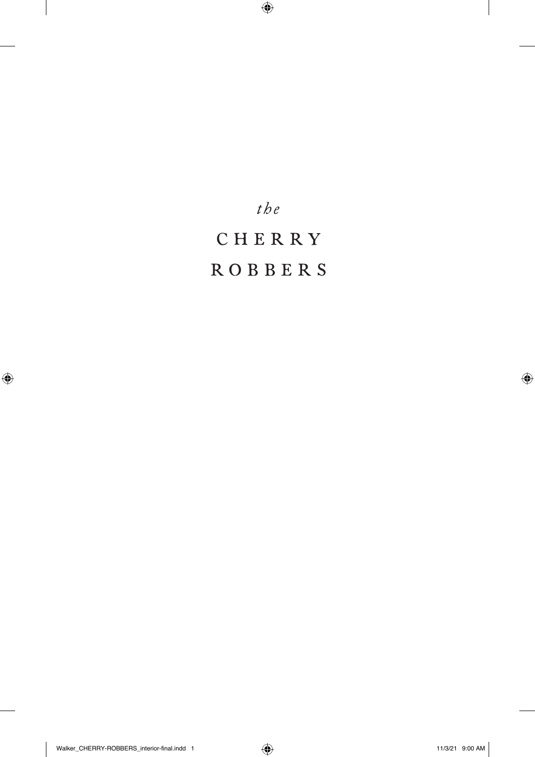*the*  CHERRY ROBBERS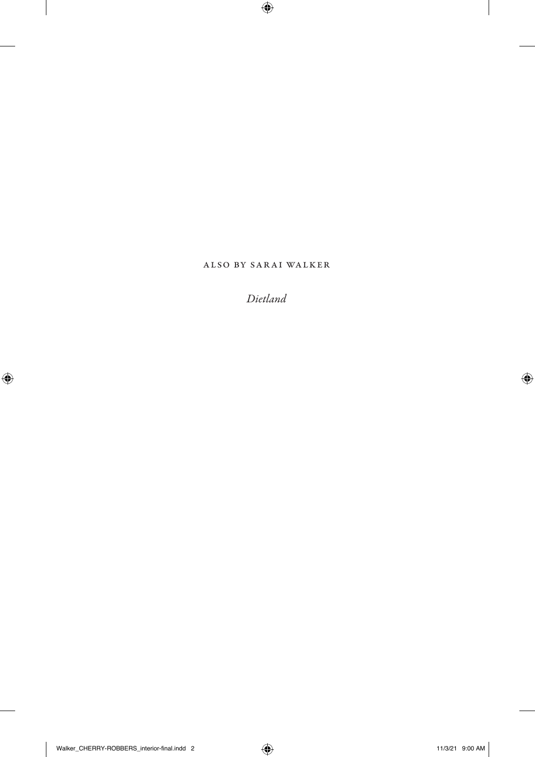### ALSO BY SARAI WALKER

*Dietland*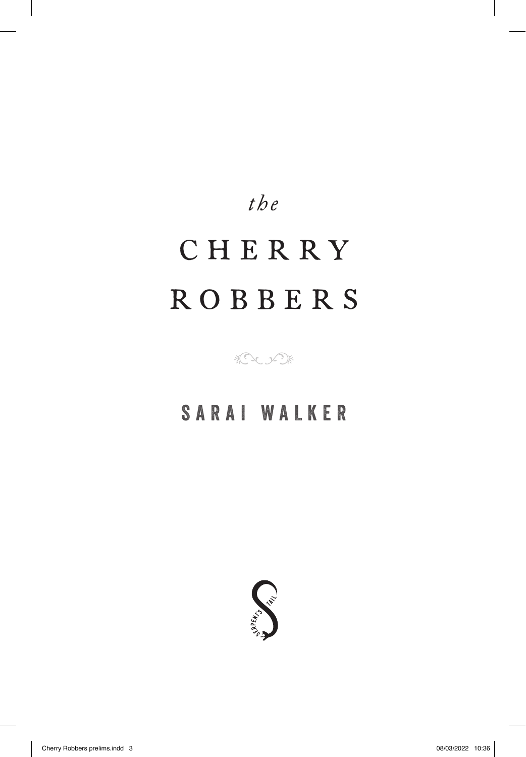## *the*

# **CHERRY ROBBERS**

ポームンプ

## SARAI WALKER

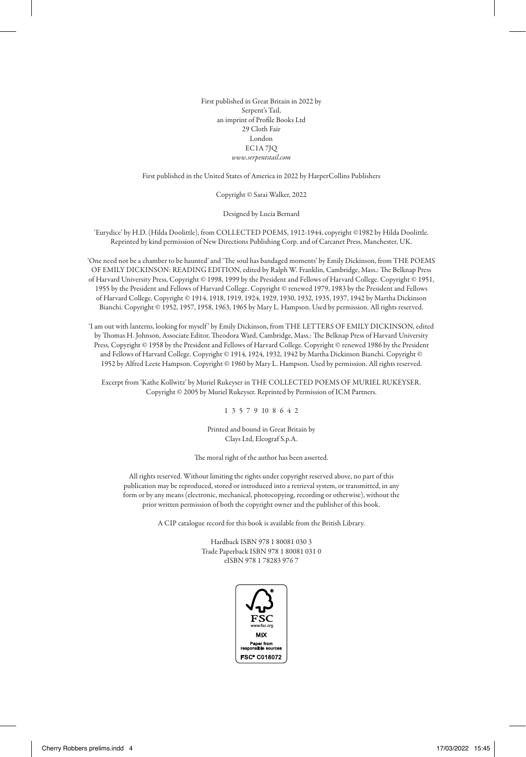First published in Great Britain in 2022 by Serpent's Tail, an imprint of Profile Books Ltd 29 Cloth Fair London EC1A 7JQ *www.serpentstail.com*

First published in the United States of America in 2022 by HarperCollins Publishers

Copyright © Sarai Walker, 2022

Designed by Lucia Bernard

'Eurydice' by H.D. (Hilda Doolittle), from COLLECTED POEMS, 1912-1944, copyright ©1982 by Hilda Doolittle. Reprinted by kind permission of New Directions Publishing Corp. and of Carcanet Press, Manchester, UK.

'One need not be a chamber to be haunted' and 'The soul has bandaged moments' by Emily Dickinson, from THE POEMS OF EMILY DICKINSON: READING EDITION, edited by Ralph W. Franklin, Cambridge, Mass.: The Belknap Press of Harvard University Press, Copyright © 1998, 1999 by the President and Fellows of Harvard College. Copyright © 1951, 1955 by the President and Fellows of Harvard College. Copyright © renewed 1979, 1983 by the President and Fellows of Harvard College. Copyright © 1914, 1918, 1919, 1924, 1929, 1930, 1932, 1935, 1937, 1942 by Martha Dickinson Bianchi. Copyright © 1952, 1957, 1958, 1963, 1965 by Mary L. Hampson. Used by permission. All rights reserved.

'I am out with lanterns, looking for myself' by Emily Dickinson, from THE LETTERS OF EMILY DICKINSON, edited by Thomas H. Johnson, Associate Editor, Theodora Ward, Cambridge, Mass.: The Belknap Press of Harvard University Press, Copyright © 1958 by the President and Fellows of Harvard College. Copyright © renewed 1986 by the President and Fellows of Harvard College. Copyright © 1914, 1924, 1932, 1942 by Martha Dickinson Bianchi. Copyright © 1952 by Alfred Leete Hampson. Copyright © 1960 by Mary L. Hampson. Used by permission. All rights reserved.

Excerpt from 'Kathe Kollwitz' by Muriel Rukeyser in THE COLLECTED POEMS OF MURIEL RUKEYSER. Copyright © 2005 by Muriel Rukeyser. Reprinted by Permission of ICM Partners.

1 3 5 7 9 10 8 6 4 2

Printed and bound in Great Britain by Clays Ltd, Elcograf S.p.A.

The moral right of the author has been asserted.

All rights reserved. Without limiting the rights under copyright reserved above, no part of this publication may be reproduced, stored or introduced into a retrieval system, or transmitted, in any form or by any means (electronic, mechanical, photocopying, recording or otherwise), without the prior written permission of both the copyright owner and the publisher of this book.

A CIP catalogue record for this book is available from the British Library.

Hardback ISBN 978 1 80081 030 3 Trade Paperback ISBN 978 1 80081 031 0 eISBN 978 1 78283 976 7

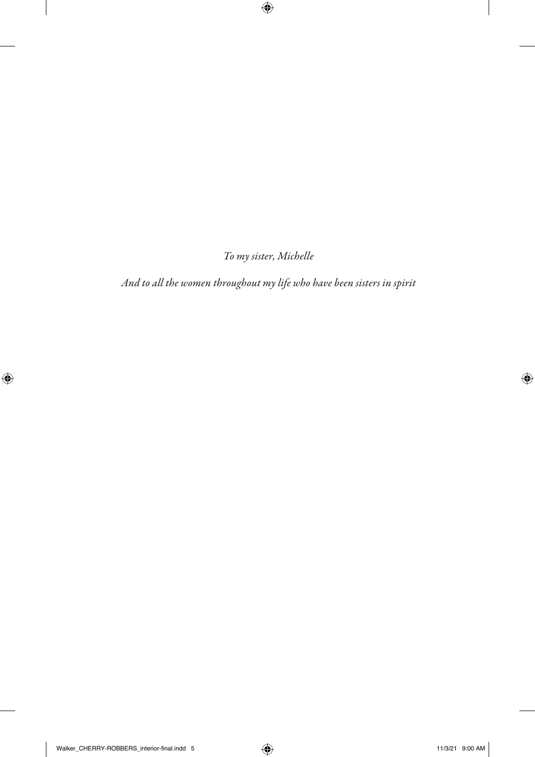*To my sister, Michelle*

*And to all the women throughout my life who have been sisters in spirit*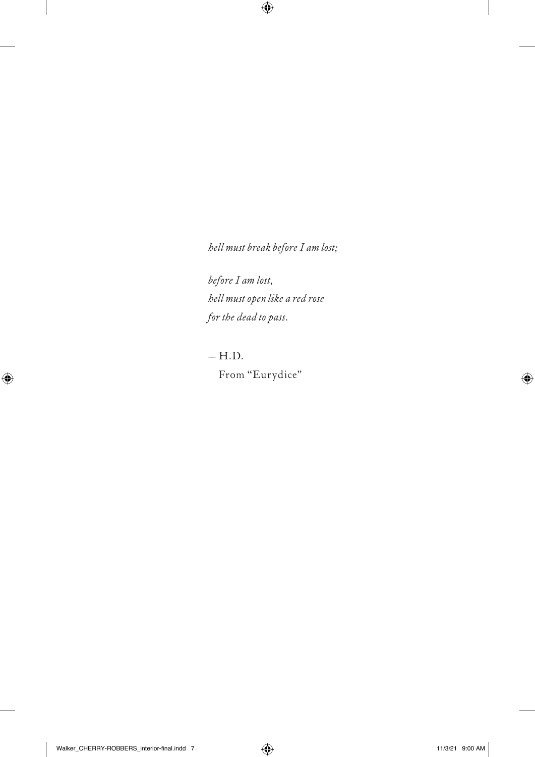*hell must break before I am lost;*

*before I am lost, hell must open like a red rose for the dead to pass.*

 — H.D. From "Eurydice"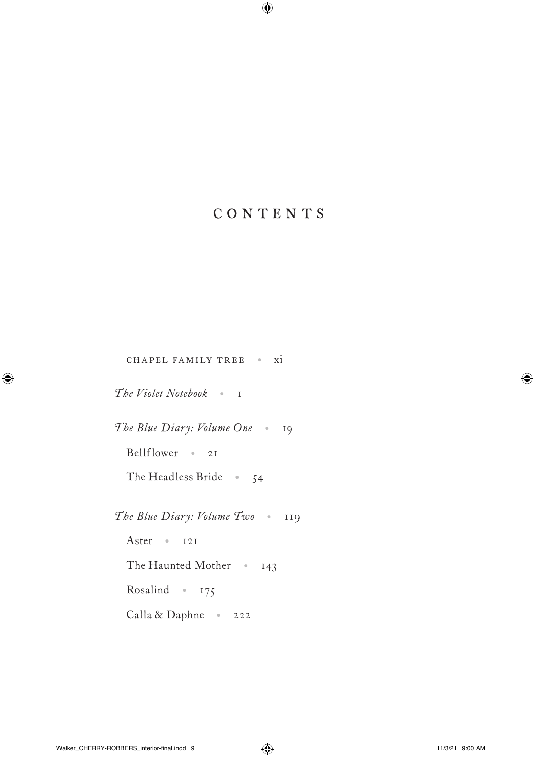### CONTENTS

Chapel family tree • xi

*The Violet Notebook* • 1

*The Blue Diary: Volume One* • 19

Bellflower • 21

The Headless Bride • 54

*The Blue Diary: Volume Two* • 119

Aster • 121

The Haunted Mother • 143

Rosalind • 175

Calla & Daphne • 222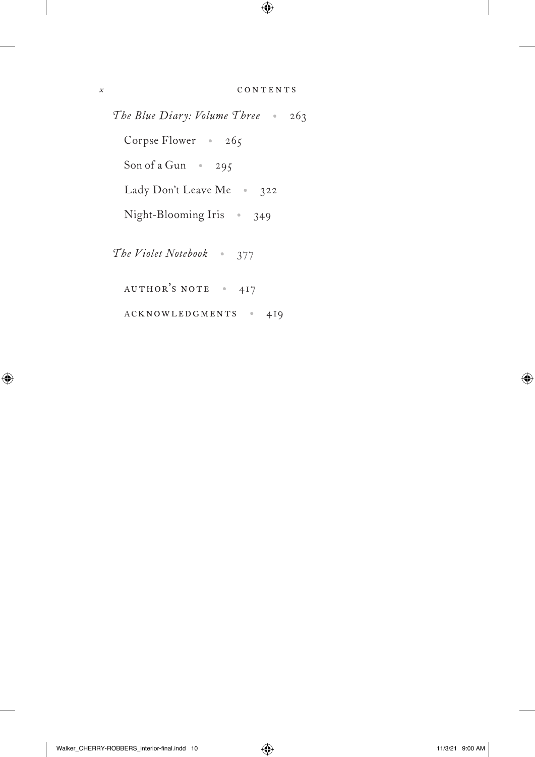*The Blue Diary: Volume Three* • 263 Corpse Flower • 265 Son of a Gun • 295 Lady Don't Leave Me • 322 Night-Blooming Iris • 349 *The Violet Notebook* • 377 AUTHOR'S NOTE • 417 Acknowledgments • 419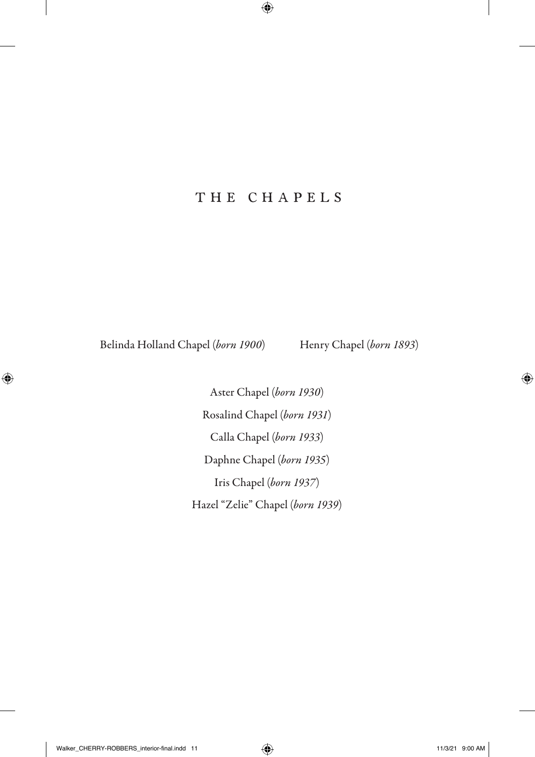### THE CHAPELS

Belinda Holland Chapel (*born 1900*) Henry Chapel (*born 1893*)

Aster Chapel (*born 1930*) Rosalind Chapel (*born 1931*) Calla Chapel (*born 1933*) Daphne Chapel (*born 1935*) Iris Chapel (*born 1937*) Hazel "Zelie" Chapel (*born 1939*)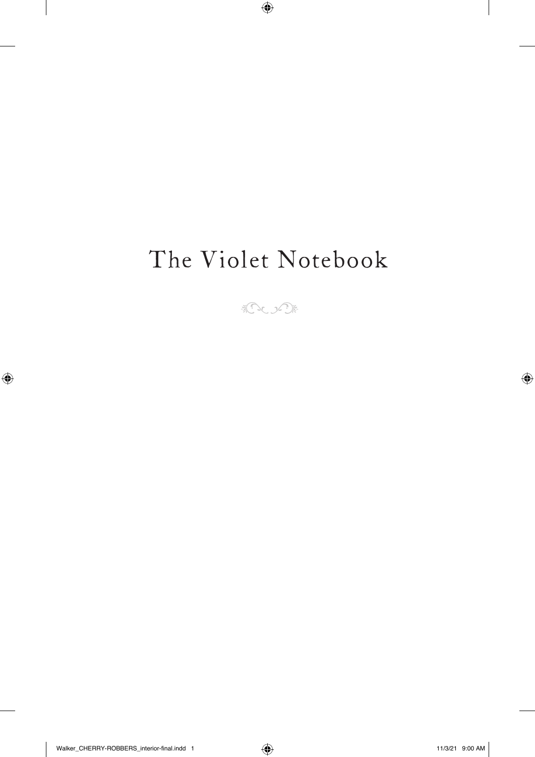## The Violet Notebook

ポームンプ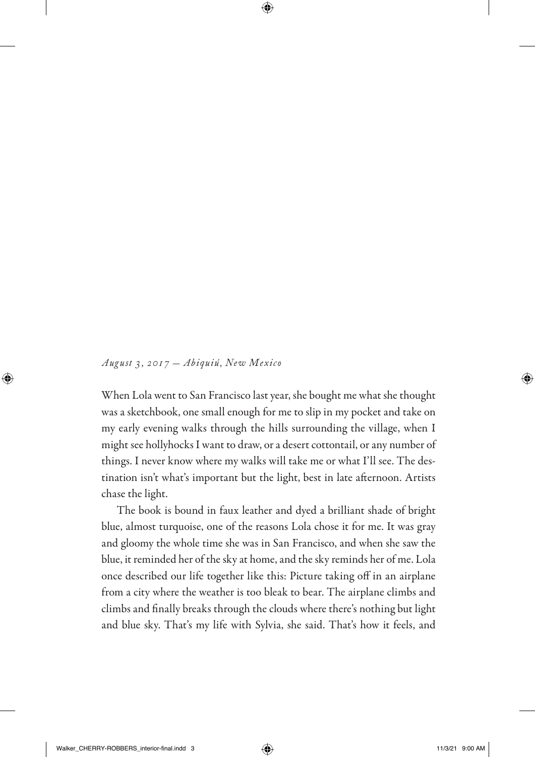*August 3, 2017 — Abiquiú, New Mexico*

When Lola went to San Francisco last year, she bought me what she thought was a sketchbook, one small enough for me to slip in my pocket and take on my early evening walks through the hills surrounding the village, when I might see hollyhocks I want to draw, or a desert cottontail, or any number of things. I never know where my walks will take me or what I'll see. The destination isn't what's important but the light, best in late afternoon. Artists chase the light.

The book is bound in faux leather and dyed a brilliant shade of bright blue, almost turquoise, one of the reasons Lola chose it for me. It was gray and gloomy the whole time she was in San Francisco, and when she saw the blue, it reminded her of the sky at home, and the sky reminds her of me. Lola once described our life together like this: Picture taking off in an airplane from a city where the weather is too bleak to bear. The airplane climbs and climbs and finally breaks through the clouds where there's nothing but light and blue sky. That's my life with Sylvia, she said. That's how it feels, and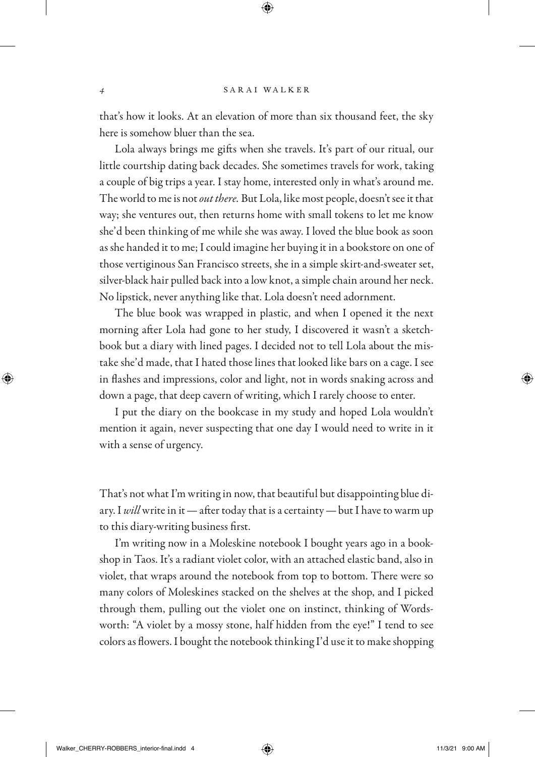that's how it looks. At an elevation of more than six thousand feet, the sky here is somehow bluer than the sea.

Lola always brings me gifts when she travels. It's part of our ritual, our little courtship dating back decades. She sometimes travels for work, taking a couple of big trips a year. I stay home, interested only in what's around me. The world to me is not *out there.* But Lola, like most people, doesn't see it that way; she ventures out, then returns home with small tokens to let me know she'd been thinking of me while she was away. I loved the blue book as soon as she handed it to me; I could imagine her buying it in a bookstore on one of those vertiginous San Francisco streets, she in a simple skirt-and-sweater set, silver-black hair pulled back into a low knot, a simple chain around her neck. No lipstick, never anything like that. Lola doesn't need adornment.

The blue book was wrapped in plastic, and when I opened it the next morning after Lola had gone to her study, I discovered it wasn't a sketchbook but a diary with lined pages. I decided not to tell Lola about the mistake she'd made, that I hated those lines that looked like bars on a cage. I see in flashes and impressions, color and light, not in words snaking across and down a page, that deep cavern of writing, which I rarely choose to enter.

I put the diary on the bookcase in my study and hoped Lola wouldn't mention it again, never suspecting that one day I would need to write in it with a sense of urgency.

That's not what I'm writing in now, that beautiful but disappointing blue diary. I *will* write in it — after today that is a certainty — but I have to warm up to this diary-writing business first.

I'm writing now in a Moleskine notebook I bought years ago in a bookshop in Taos. It's a radiant violet color, with an attached elastic band, also in violet, that wraps around the notebook from top to bottom. There were so many colors of Moleskines stacked on the shelves at the shop, and I picked through them, pulling out the violet one on instinct, thinking of Wordsworth: "A violet by a mossy stone, half hidden from the eye!" I tend to see colors as flowers. I bought the notebook thinking I'd use it to make shopping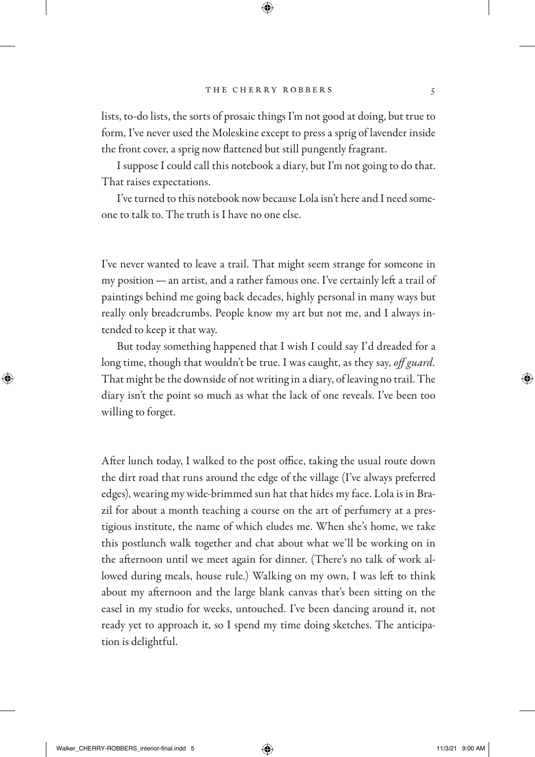lists, to-do lists, the sorts of prosaic things I'm not good at doing, but true to form, I've never used the Moleskine except to press a sprig of lavender inside the front cover, a sprig now flattened but still pungently fragrant.

I suppose I could call this notebook a diary, but I'm not going to do that. That raises expectations.

I've turned to this notebook now because Lola isn't here and I need someone to talk to. The truth is I have no one else.

I've never wanted to leave a trail. That might seem strange for someone in my position — an artist, and a rather famous one. I've certainly left a trail of paintings behind me going back decades, highly personal in many ways but really only breadcrumbs. People know my art but not me, and I always intended to keep it that way.

But today something happened that I wish I could say I'd dreaded for a long time, though that wouldn't be true. I was caught, as they say, *off guard.* That might be the downside of not writing in a diary, of leaving no trail. The diary isn't the point so much as what the lack of one reveals. I've been too willing to forget.

After lunch today, I walked to the post office, taking the usual route down the dirt road that runs around the edge of the village (I've always preferred edges), wearing my wide-brimmed sun hat that hides my face. Lola is in Brazil for about a month teaching a course on the art of perfumery at a prestigious institute, the name of which eludes me. When she's home, we take this postlunch walk together and chat about what we'll be working on in the afternoon until we meet again for dinner. (There's no talk of work allowed during meals, house rule.) Walking on my own, I was left to think about my afternoon and the large blank canvas that's been sitting on the easel in my studio for weeks, untouched. I've been dancing around it, not ready yet to approach it, so I spend my time doing sketches. The anticipation is delightful.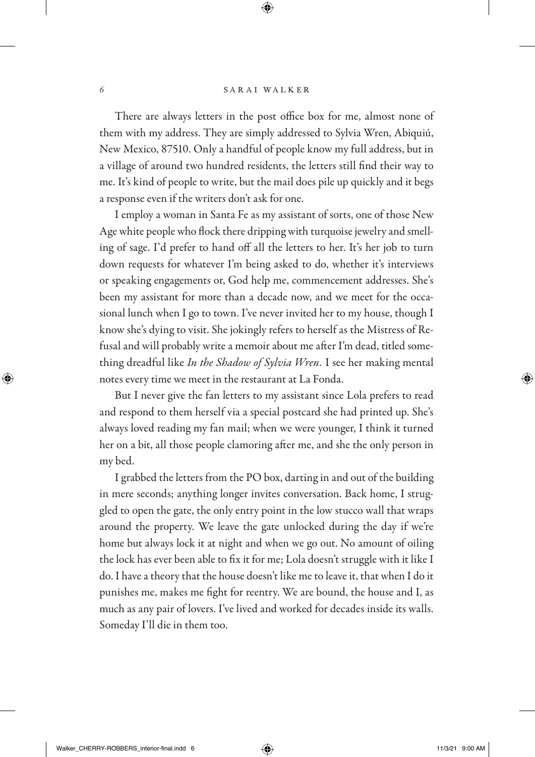There are always letters in the post office box for me, almost none of them with my address. They are simply addressed to Sylvia Wren, Abiquiú, New Mexico, 87510. Only a handful of people know my full address, but in a village of around two hundred residents, the letters still find their way to me. It's kind of people to write, but the mail does pile up quickly and it begs a response even if the writers don't ask for one.

I employ a woman in Santa Fe as my assistant of sorts, one of those New Age white people who flock there dripping with turquoise jewelry and smelling of sage. I'd prefer to hand off all the letters to her. It's her job to turn down requests for whatever I'm being asked to do, whether it's interviews or speaking engagements or, God help me, commencement addresses. She's been my assistant for more than a decade now, and we meet for the occasional lunch when I go to town. I've never invited her to my house, though I know she's dying to visit. She jokingly refers to herself as the Mistress of Refusal and will probably write a memoir about me after I'm dead, titled something dreadful like *In the Shadow of Sylvia Wren.* I see her making mental notes every time we meet in the restaurant at La Fonda.

But I never give the fan letters to my assistant since Lola prefers to read and respond to them herself via a special postcard she had printed up. She's always loved reading my fan mail; when we were younger, I think it turned her on a bit, all those people clamoring after me, and she the only person in my bed.

I grabbed the letters from the PO box, darting in and out of the building in mere seconds; anything longer invites conversation. Back home, I struggled to open the gate, the only entry point in the low stucco wall that wraps around the property. We leave the gate unlocked during the day if we're home but always lock it at night and when we go out. No amount of oiling the lock has ever been able to fix it for me; Lola doesn't struggle with it like I do. I have a theory that the house doesn't like me to leave it, that when I do it punishes me, makes me fight for reentry. We are bound, the house and I, as much as any pair of lovers. I've lived and worked for decades inside its walls. Someday I'll die in them too.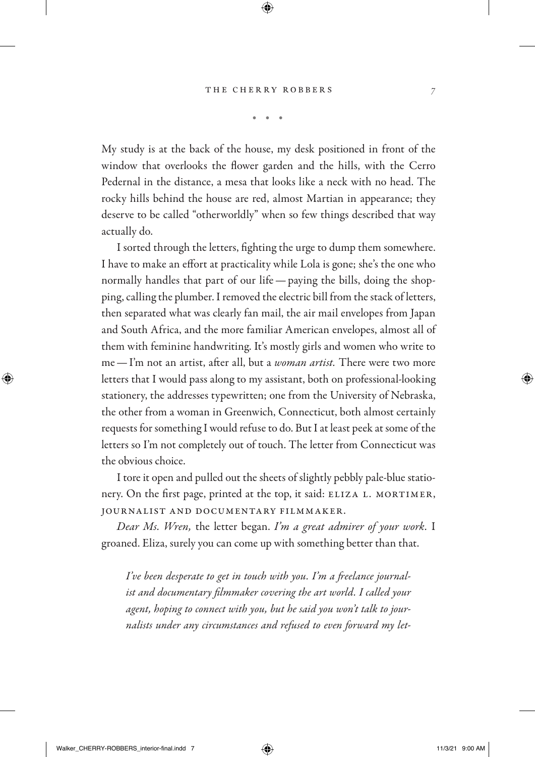• • •

My study is at the back of the house, my desk positioned in front of the window that overlooks the flower garden and the hills, with the Cerro Pedernal in the distance, a mesa that looks like a neck with no head. The rocky hills behind the house are red, almost Martian in appearance; they deserve to be called "otherworldly" when so few things described that way actually do.

I sorted through the letters, fighting the urge to dump them somewhere. I have to make an effort at practicality while Lola is gone; she's the one who normally handles that part of our life — paying the bills, doing the shopping, calling the plumber. I removed the electric bill from the stack of letters, then separated what was clearly fan mail, the air mail envelopes from Japan and South Africa, and the more familiar American envelopes, almost all of them with feminine handwriting. It's mostly girls and women who write to me — I'm not an artist, after all, but a *woman artist.* There were two more letters that I would pass along to my assistant, both on professional-looking stationery, the addresses typewritten; one from the University of Nebraska, the other from a woman in Greenwich, Connecticut, both almost certainly requests for something I would refuse to do. But I at least peek at some of the letters so I'm not completely out of touch. The letter from Connecticut was the obvious choice.

I tore it open and pulled out the sheets of slightly pebbly pale-blue stationery. On the first page, printed at the top, it said: ELIZA L. MORTIMER, journalist and documentary filmmaker.

*Dear Ms. Wren,* the letter began. *I'm a great admirer of your work.* I groaned. Eliza, surely you can come up with something better than that.

*I've been desperate to get in touch with you. I'm a freelance journalist and documentary filmmaker covering the art world. I called your agent, hoping to connect with you, but he said you won't talk to journalists under any circumstances and refused to even forward my let-*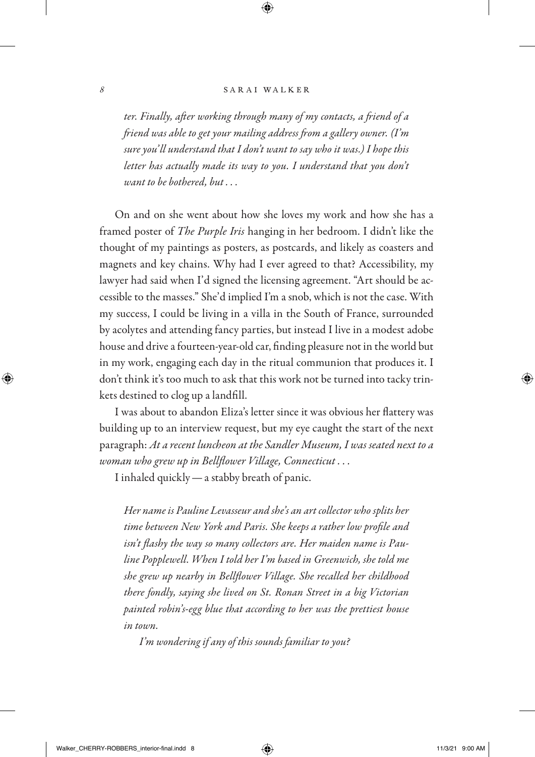### 8 **SARAI WALKER**

*ter. Finally, after working through many of my contacts, a friend of a friend was able to get your mailing address from a gallery owner. (I'm sure you' ll understand that I don't want to say who it was.) I hope this letter has actually made its way to you. I understand that you don't want to be bothered, but . . .* 

On and on she went about how she loves my work and how she has a framed poster of *The Purple Iris* hanging in her bedroom. I didn't like the thought of my paintings as posters, as postcards, and likely as coasters and magnets and key chains. Why had I ever agreed to that? Accessibility, my lawyer had said when I'd signed the licensing agreement. "Art should be accessible to the masses." She'd implied I'm a snob, which is not the case. With my success, I could be living in a villa in the South of France, surrounded by acolytes and attending fancy parties, but instead I live in a modest adobe house and drive a fourteen-year-old car, finding pleasure not in the world but in my work, engaging each day in the ritual communion that produces it. I don't think it's too much to ask that this work not be turned into tacky trinkets destined to clog up a landfill.

I was about to abandon Eliza's letter since it was obvious her flattery was building up to an interview request, but my eye caught the start of the next paragraph: *At a recent luncheon at the Sandler Museum, I was seated next to a woman who grew up in Bellflower Village, Connecticut . . .* 

I inhaled quickly — a stabby breath of panic.

*Her name is Pauline Levasseur and she's an art collector who splits her time between New York and Paris. She keeps a rather low profile and isn't flashy the way so many collectors are. Her maiden name is Pauline Popplewell. When I told her I'm based in Greenwich, she told me she grew up nearby in Bellflower Village. She recalled her childhood there fondly, saying she lived on St. Ronan Street in a big Victorian painted robin's-egg blue that according to her was the prettiest house in town.*

*I'm wondering if any of this sounds familiar to you?*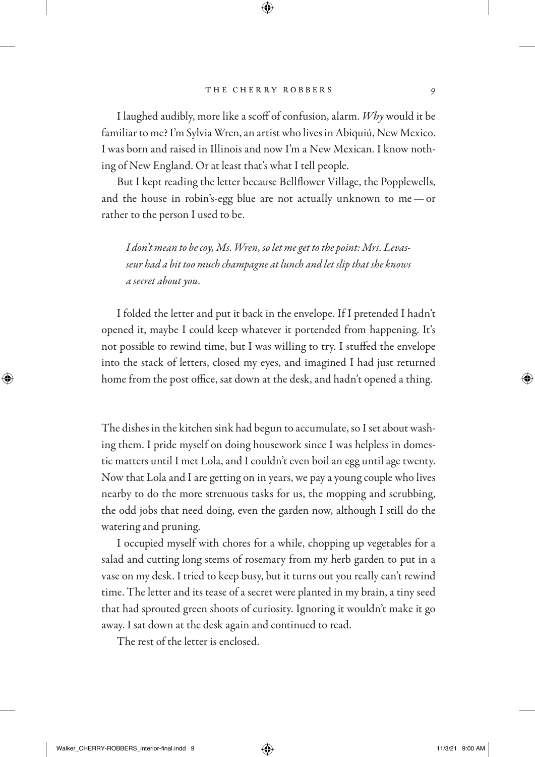I laughed audibly, more like a scoff of confusion, alarm. *Why* would it be familiar to me? I'm Sylvia Wren, an artist who lives in Abiquiú, New Mexico. I was born and raised in Illinois and now I'm a New Mexican. I know nothing of New England. Or at least that's what I tell people.

But I kept reading the letter because Bellflower Village, the Popplewells, and the house in robin's-egg blue are not actually unknown to  $me-$  or rather to the person I used to be.

*I don't mean to be coy, Ms. Wren, so let me get to the point: Mrs. Levasseur had a bit too much champagne at lunch and let slip that she knows a secret about you.*

I folded the letter and put it back in the envelope. If I pretended I hadn't opened it, maybe I could keep whatever it portended from happening. It's not possible to rewind time, but I was willing to try. I stuffed the envelope into the stack of letters, closed my eyes, and imagined I had just returned home from the post office, sat down at the desk, and hadn't opened a thing.

The dishes in the kitchen sink had begun to accumulate, so I set about washing them. I pride myself on doing housework since I was helpless in domestic matters until I met Lola, and I couldn't even boil an egg until age twenty. Now that Lola and I are getting on in years, we pay a young couple who lives nearby to do the more strenuous tasks for us, the mopping and scrubbing, the odd jobs that need doing, even the garden now, although I still do the watering and pruning.

I occupied myself with chores for a while, chopping up vegetables for a salad and cutting long stems of rosemary from my herb garden to put in a vase on my desk. I tried to keep busy, but it turns out you really can't rewind time. The letter and its tease of a secret were planted in my brain, a tiny seed that had sprouted green shoots of curiosity. Ignoring it wouldn't make it go away. I sat down at the desk again and continued to read.

The rest of the letter is enclosed.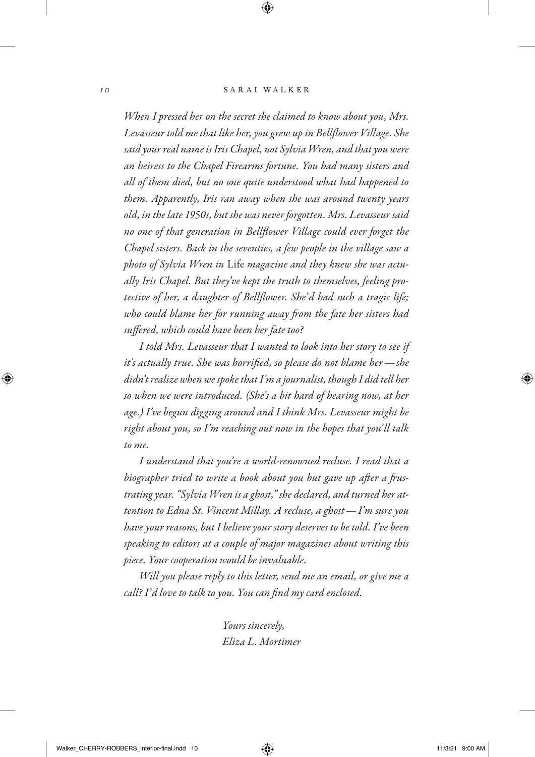*When I pressed her on the secret she claimed to know about you, Mrs. Levasseur told me that like her, you grew up in Bellflower Village. She said your real name is Iris Chapel, not Sylvia Wren, and that you were an heiress to the Chapel Firearms fortune. You had many sisters and all of them died, but no one quite understood what had happened to them. Apparently, Iris ran away when she was around twenty years old, in the late 1950s, but she was never forgotten. Mrs. Levasseur said no one of that generation in Bellflower Village could ever forget the Chapel sisters. Back in the seventies, a few people in the village saw a photo of Sylvia Wren in* Life *magazine and they knew she was actually Iris Chapel. But they've kept the truth to themselves, feeling protective of her, a daughter of Bellflower. She' d had such a tragic life; who could blame her for running away from the fate her sisters had suffered, which could have been her fate too?*

*I told Mrs. Levasseur that I wanted to look into her story to see if it's actually true. She was horrified, so please do not blame her — she didn't realize when we spoke that I'm a journalist, though I did tell her so when we were introduced. (She's a bit hard of hearing now, at her age.) I've begun digging around and I think Mrs. Levasseur might be right about you, so I'm reaching out now in the hopes that you' ll talk to me.*

*I understand that you're a world-renowned recluse. I read that a biographer tried to write a book about you but gave up after a frustrating year. "Sylvia Wren is a ghost," she declared, and turned her attention to Edna St. Vincent Millay. A recluse, a ghost — I'm sure you have your reasons, but I believe your story deserves to be told. I've been speaking to editors at a couple of major magazines about writing this piece. Your cooperation would be invaluable.*

*Will you please reply to this letter, send me an email, or give me a call? I' d love to talk to you. You can find my card enclosed.*

> *Yours sincerely, Eliza L. Mortimer*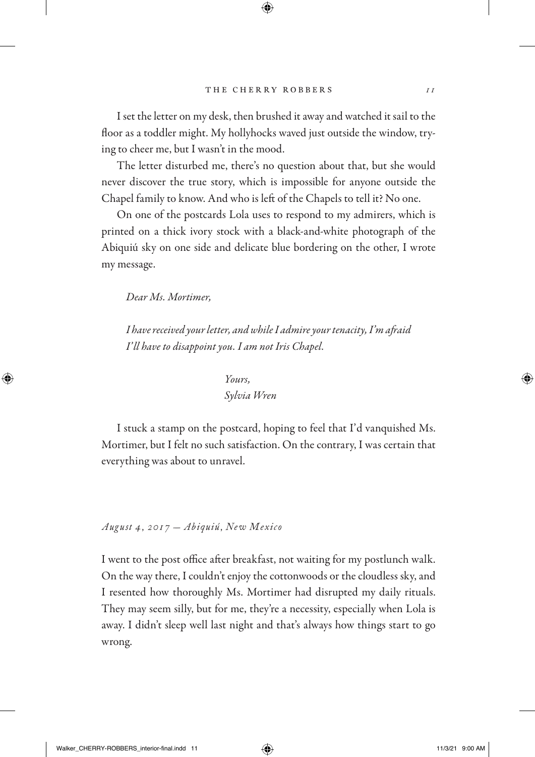I set the letter on my desk, then brushed it away and watched it sail to the floor as a toddler might. My hollyhocks waved just outside the window, trying to cheer me, but I wasn't in the mood.

The letter disturbed me, there's no question about that, but she would never discover the true story, which is impossible for anyone outside the Chapel family to know. And who is left of the Chapels to tell it? No one.

On one of the postcards Lola uses to respond to my admirers, which is printed on a thick ivory stock with a black-and-white photograph of the Abiquiú sky on one side and delicate blue bordering on the other, I wrote my message.

*Dear Ms. Mortimer,*

*I have received your letter, and while I admire your tenacity, I'm afraid I' ll have to disappoint you. I am not Iris Chapel.*

> *Yours, Sylvia Wren*

I stuck a stamp on the postcard, hoping to feel that I'd vanquished Ms. Mortimer, but I felt no such satisfaction. On the contrary, I was certain that everything was about to unravel.

*August 4 , 2017 — Abiquiú, New Mexico*

I went to the post office after breakfast, not waiting for my postlunch walk. On the way there, I couldn't enjoy the cottonwoods or the cloudless sky, and I resented how thoroughly Ms. Mortimer had disrupted my daily rituals. They may seem silly, but for me, they're a necessity, especially when Lola is away. I didn't sleep well last night and that's always how things start to go wrong.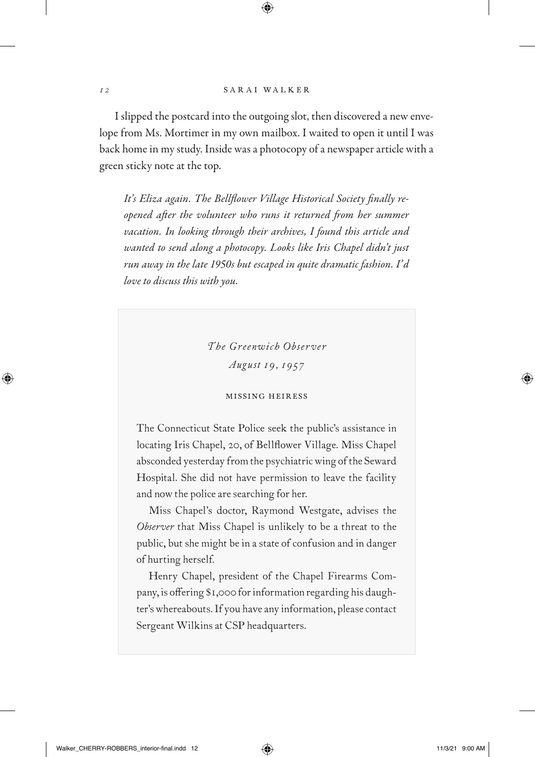I slipped the postcard into the outgoing slot, then discovered a new envelope from Ms. Mortimer in my own mailbox. I waited to open it until I was back home in my study. Inside was a photocopy of a newspaper article with a green sticky note at the top.

*It's Eliza again. The Bellflower Village Historical Society finally reopened after the volunteer who runs it returned from her summer vacation. In looking through their archives, I found this article and wanted to send along a photocopy. Looks like Iris Chapel didn't just run away in the late 1950s but escaped in quite dramatic fashion. I' d love to discuss this with you.*

> *The Greenwich Observer August 19, 1957*

#### missing heiress

The Connecticut State Police seek the public's assistance in locating Iris Chapel, 20, of Bellflower Village. Miss Chapel absconded yesterday from the psychiatric wing of the Seward Hospital. She did not have permission to leave the facility and now the police are searching for her.

Miss Chapel's doctor, Raymond Westgate, advises the *Observer* that Miss Chapel is unlikely to be a threat to the public, but she might be in a state of confusion and in danger of hurting herself.

Henry Chapel, president of the Chapel Firearms Company, is offering \$1,000 for information regarding his daughter's whereabouts. If you have any information, please contact Sergeant Wilkins at CSP headquarters.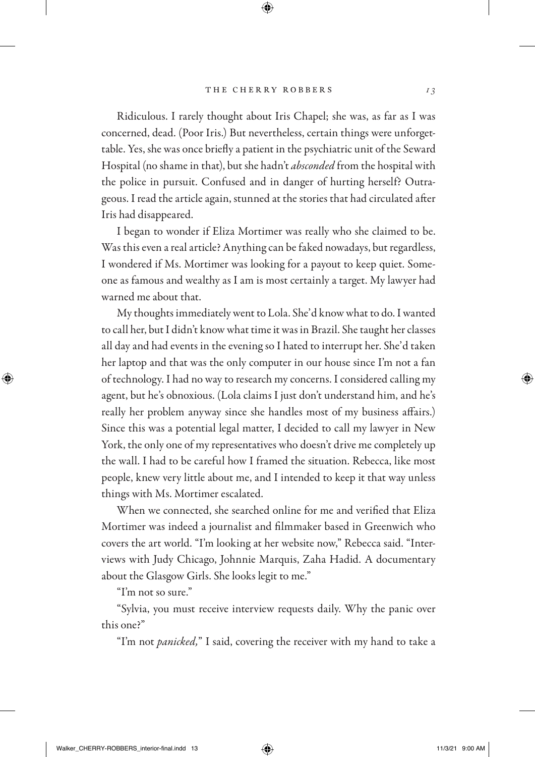Ridiculous. I rarely thought about Iris Chapel; she was, as far as I was concerned, dead. (Poor Iris.) But nevertheless, certain things were unforgettable. Yes, she was once briefly a patient in the psychiatric unit of the Seward Hospital (no shame in that), but she hadn't *absconded* from the hospital with the police in pursuit. Confused and in danger of hurting herself? Outrageous. I read the article again, stunned at the stories that had circulated after Iris had disappeared.

I began to wonder if Eliza Mortimer was really who she claimed to be. Was this even a real article? Anything can be faked nowadays, but regardless, I wondered if Ms. Mortimer was looking for a payout to keep quiet. Someone as famous and wealthy as I am is most certainly a target. My lawyer had warned me about that.

My thoughts immediately went to Lola. She'd know what to do. I wanted to call her, but I didn't know what time it was in Brazil. She taught her classes all day and had events in the evening so I hated to interrupt her. She'd taken her laptop and that was the only computer in our house since I'm not a fan of technology. I had no way to research my concerns. I considered calling my agent, but he's obnoxious. (Lola claims I just don't understand him, and he's really her problem anyway since she handles most of my business affairs.) Since this was a potential legal matter, I decided to call my lawyer in New York, the only one of my representatives who doesn't drive me completely up the wall. I had to be careful how I framed the situation. Rebecca, like most people, knew very little about me, and I intended to keep it that way unless things with Ms. Mortimer escalated.

When we connected, she searched online for me and verified that Eliza Mortimer was indeed a journalist and filmmaker based in Greenwich who covers the art world. "I'm looking at her website now," Rebecca said. "Interviews with Judy Chicago, Johnnie Marquis, Zaha Hadid. A documentary about the Glasgow Girls. She looks legit to me."

"I'm not so sure."

"Sylvia, you must receive interview requests daily. Why the panic over this one?"

"I'm not *panicked,*" I said, covering the receiver with my hand to take a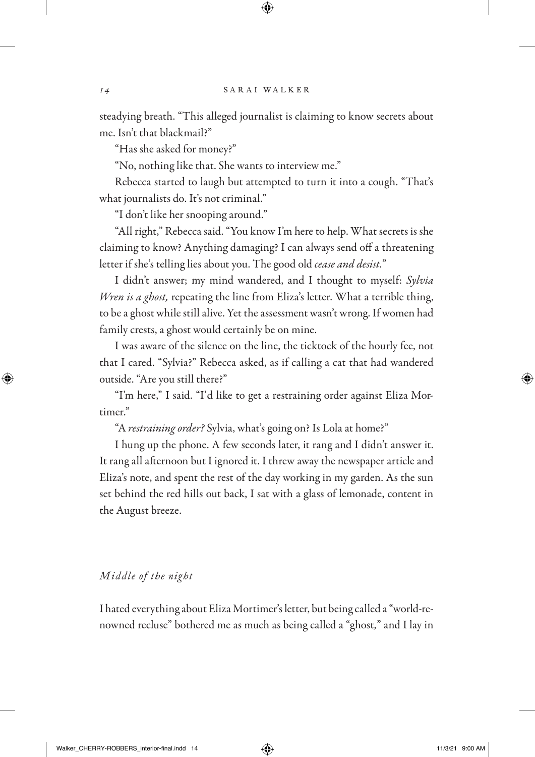steadying breath. "This alleged journalist is claiming to know secrets about me. Isn't that blackmail?"

"Has she asked for money?"

"No, nothing like that. She wants to interview me."

Rebecca started to laugh but attempted to turn it into a cough. "That's what journalists do. It's not criminal."

"I don't like her snooping around."

"All right," Rebecca said. "You know I'm here to help. What secrets is she claiming to know? Anything damaging? I can always send off a threatening letter if she's telling lies about you. The good old *cease and desist.*"

I didn't answer; my mind wandered, and I thought to myself: *Sylvia Wren is a ghost,* repeating the line from Eliza's letter. What a terrible thing, to be a ghost while still alive. Yet the assessment wasn't wrong. If women had family crests, a ghost would certainly be on mine.

I was aware of the silence on the line, the ticktock of the hourly fee, not that I cared. "Sylvia?" Rebecca asked, as if calling a cat that had wandered outside. "Are you still there?"

"I'm here," I said. "I'd like to get a restraining order against Eliza Mortimer."

"A *restraining order?* Sylvia, what's going on? Is Lola at home?"

I hung up the phone. A few seconds later, it rang and I didn't answer it. It rang all afternoon but I ignored it. I threw away the newspaper article and Eliza's note, and spent the rest of the day working in my garden. As the sun set behind the red hills out back, I sat with a glass of lemonade, content in the August breeze.

### *Middle of the night*

I hated everything about Eliza Mortimer's letter, but being called a "world-renowned recluse" bothered me as much as being called a "ghost*,*" and I lay in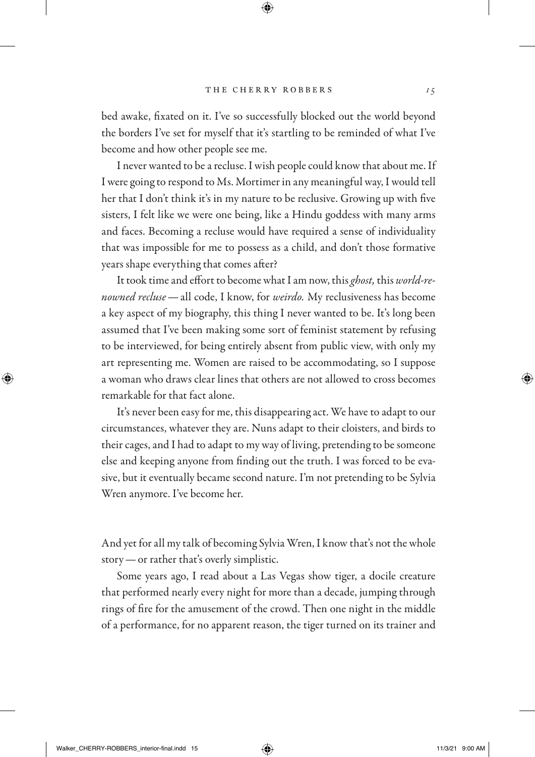bed awake, fixated on it. I've so successfully blocked out the world beyond the borders I've set for myself that it's startling to be reminded of what I've become and how other people see me.

I never wanted to be a recluse. I wish people could know that about me. If I were going to respond to Ms. Mortimer in any meaningful way, I would tell her that I don't think it's in my nature to be reclusive. Growing up with five sisters, I felt like we were one being, like a Hindu goddess with many arms and faces. Becoming a recluse would have required a sense of individuality that was impossible for me to possess as a child, and don't those formative years shape everything that comes after?

It took time and effort to become what I am now, this *ghost,* this *world-renowned recluse* — all code, I know, for *weirdo.* My reclusiveness has become a key aspect of my biography, this thing I never wanted to be. It's long been assumed that I've been making some sort of feminist statement by refusing to be interviewed, for being entirely absent from public view, with only my art representing me. Women are raised to be accommodating, so I suppose a woman who draws clear lines that others are not allowed to cross becomes remarkable for that fact alone.

It's never been easy for me, this disappearing act. We have to adapt to our circumstances, whatever they are. Nuns adapt to their cloisters, and birds to their cages, and I had to adapt to my way of living, pretending to be someone else and keeping anyone from finding out the truth. I was forced to be evasive, but it eventually became second nature. I'm not pretending to be Sylvia Wren anymore. I've become her.

And yet for all my talk of becoming Sylvia Wren, I know that's not the whole story — or rather that's overly simplistic.

Some years ago, I read about a Las Vegas show tiger, a docile creature that performed nearly every night for more than a decade, jumping through rings of fire for the amusement of the crowd. Then one night in the middle of a performance, for no apparent reason, the tiger turned on its trainer and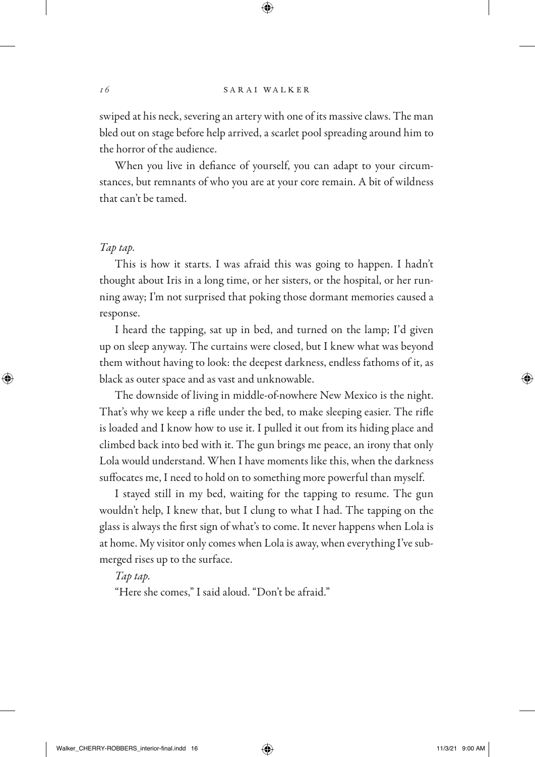swiped at his neck, severing an artery with one of its massive claws. The man bled out on stage before help arrived, a scarlet pool spreading around him to the horror of the audience.

When you live in defiance of yourself, you can adapt to your circumstances, but remnants of who you are at your core remain. A bit of wildness that can't be tamed.

### *Tap tap.*

This is how it starts. I was afraid this was going to happen. I hadn't thought about Iris in a long time, or her sisters, or the hospital, or her running away; I'm not surprised that poking those dormant memories caused a response.

I heard the tapping, sat up in bed, and turned on the lamp; I'd given up on sleep anyway. The curtains were closed, but I knew what was beyond them without having to look: the deepest darkness, endless fathoms of it, as black as outer space and as vast and unknowable.

The downside of living in middle-of-nowhere New Mexico is the night. That's why we keep a rifle under the bed, to make sleeping easier. The rifle is loaded and I know how to use it. I pulled it out from its hiding place and climbed back into bed with it. The gun brings me peace, an irony that only Lola would understand. When I have moments like this, when the darkness suffocates me, I need to hold on to something more powerful than myself.

I stayed still in my bed, waiting for the tapping to resume. The gun wouldn't help, I knew that, but I clung to what I had. The tapping on the glass is always the first sign of what's to come. It never happens when Lola is at home. My visitor only comes when Lola is away, when everything I've submerged rises up to the surface.

### *Tap tap.*

"Here she comes," I said aloud. "Don't be afraid."